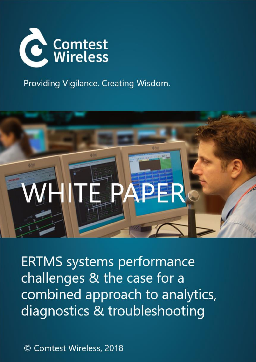

Providing Vigilance. Creating Wisdom.



**ERTMS systems performance** challenges & the case for a combined approach to analytics, diagnostics & troubleshooting

© Comtest Wireless, 2018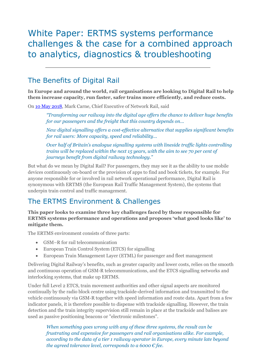# White Paper: ERTMS systems performance challenges & the case for a combined approach to analytics, diagnostics & troubleshooting

## The Benefits of Digital Rail

**In Europe and around the world, rail organisations are looking to Digital Rail to help them increase capacity, run faster, safer trains more efficiently, and reduce costs.** 

On [10 May 2018,](https://www.globalrailwayreview.com/news/68835/technological-breakthrough-uk-rail/) Mark Carne, Chief Executive of Network Rail, said

*"Transforming our railway into the digital age offers the chance to deliver huge benefits for our passengers and the freight that this country depends on...*

*New digital signalling offers a cost-effective alternative that supplies significant benefits for rail users: More capacity, speed and reliability...*

*Over half of Britain's analogue signalling systems with lineside traffic lights controlling trains will be replaced within the next 15 years, with the aim to see 70 per cent of journeys benefit from digital railway technology."*

But what do we mean by Digital Rail? For passengers, they may see it as the ability to use mobile devices continuously on-board or the provision of apps to find and book tickets, for example. For anyone responsible for or involved in rail network operational performance, Digital Rail is synonymous with ERTMS (the European Rail Traffic Management System), the systems that underpin train control and traffic management.

# The ERTMS Environment & Challenges

**This paper looks to examine three key challenges faced by those responsible for ERTMS systems performance and operations and proposes 'what good looks like' to mitigate them.**

The ERTMS environment consists of three parts:

- GSM–R for rail telecommunication
- European Train Control System (ETCS) for signalling
- European Train Management Layer (ETML) for passenger and fleet management

Delivering Digital Railway's benefits, such as greater capacity and lower costs, relies on the smooth and continuous operation of GSM-R telecommunications, and the ETCS signalling networks and interlocking systems, that make up ERTMS.

Under full Level 2 ETCS, train movement authorities and other signal aspects are monitored continually by the radio block centre using trackside-derived information and transmitted to the vehicle continuously via GSM-R together with speed information and route data. Apart from a few indicator panels, it is therefore possible to dispense with trackside signalling. However, the train detection and the train integrity supervision still remain in place at the trackside and balises are used as passive positioning beacons or "electronic milestones".

*When something goes wrong with any of these three systems, the result can be frustrating and expensive for passengers and rail organisations alike. For example, according to the data of a tier 1 railway operator in Europe, every minute late beyond the agreed tolerance level, corresponds to a 6000 € fee.*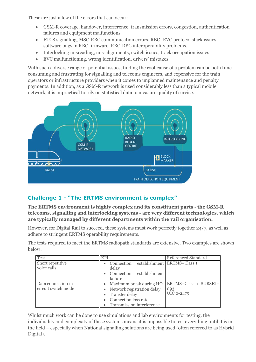These are just a few of the errors that can occur:

- GSM-R coverage, handover, interference, transmission errors, congestion, authentication failures and equipment malfunctions
- ETCS signalling, MSC-RBC communication errors, RBC- EVC protocol stack issues, software bugs in RBC firmware, RBC-RBC interoperability problems,
- Interlocking misreading, mis-alignments, switch issues, track occupation issues
- EVC malfunctioning, wrong identification, drivers' mistakes

With such a diverse range of potential issues, finding the root cause of a problem can be both time consuming and frustrating for signalling and telecoms engineers, and expensive for the train operators or infrastructure providers when it comes to unplanned maintenance and penalty payments. In addition, as a GSM-R network is used considerably less than a typical mobile network, it is impractical to rely on statistical data to measure quality of service.



## **Challenge 1 - "The ERTMS environment is complex"**

**The ERTMS environment is highly complex and its constituent parts - the GSM-R telecoms, signalling and interlocking systems - are very different technologies, which are typically managed by different departments within the rail organisation.** 

However, for Digital Rail to succeed, these systems must work perfectly together 24/7, as well as adhere to stringent ERTMS operability requirements.

The tests required to meet the ERTMS radiopath standards are extensive. Two examples are shown below:

| Test                                      | <b>KPI</b>                                                                                                                       | Referenced Standard                        |  |  |  |
|-------------------------------------------|----------------------------------------------------------------------------------------------------------------------------------|--------------------------------------------|--|--|--|
| Short repetitive<br>voice calls           | Connection<br>delay                                                                                                              | establishment ERTMS-Class 1                |  |  |  |
|                                           | Connection establishment<br>failure                                                                                              |                                            |  |  |  |
| Data connection in<br>circuit switch mode | • Maximum break during HO<br>• Network registration delay<br>Transfer delay<br>Connection loss rate<br>Transmission interference | ERTMS-Class 1 SUBSET-<br>093<br>UIC 0-2475 |  |  |  |

Whilst much work can be done to use simulations and lab environments for testing, the individuality and complexity of these systems means it is impossible to test everything until it is in the field – especially when National signalling solutions are being used (often referred to as Hybrid Digital).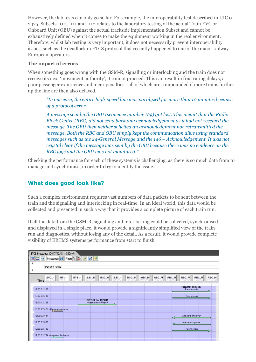However, the lab tests can only go so far. For example, the interoperability test described in UIC 0- 2475, Subsets -110, -111 and -112 relates to the laboratory testing of the actual Train EVC or Onboard Unit (OBU) against the actual trackside implementation Subset and cannot be exhaustively defined when it comes to make the equipment working in the real environment. Therefore, whilst lab testing is very important, it does not necessarily prevent interoperability issues, such as the deadlock in ETCS protocol that recently happened to one of the major railway European operators.

#### **The impact of errors**

When something goes wrong with the GSM-R, signalling or interlocking and the train does not receive its next 'movement authority', it cannot proceed. This can result in frustrating delays, a poor passenger experience and incur penalties - all of which are compounded if more trains further up the line are then also delayed.

*"In one case, the entire high-speed line was paralyzed for more than 10 minutes because of a protocol error.*

*A message sent by the OBU (sequence number 129) got lost. This meant that the Radio Block Centre (RBC) did not send back any acknowledgement as it had not received the message. The OBU then neither solicited an acknowledgment nor retransmitted the message. Both the RBC and OBU simply kept the communication alive using standard messages such as the 24-General Message and the 146 – Acknowledgement. It was not crystal clear if the message was sent by the OBU because there was no evidence on the RBC logs and the OBU was not monitored."*

Checking the performance for each of these systems is challenging, as there is so much data from to manage and synchronise, in order to try to identify the issue.

## **What does good look like?**

Such a complex environment requires vast numbers of data packets to be sent between the train and the signalling and interlocking in real-time. In an ideal world, this data would be collected and presented in such a way that it provides a complete picture of each train run.

If all the data from the GSM-R, signalling and interlocking could be collected, synchronised and displayed in a single place, it would provide a significantly simplified view of the train run and diagnostics, without losing any of the detail. As a result, it would provide complete visibility of ERTMS systems performance from start to finish.

| ETCS Messages (2017/12/01 10:50:46)<br>Messages: H Filter: 988<br>$\overline{\mathbf{z}}$<br>$\frac{1}{2}$<br>return true; |                                         |                             |       |       |        |       |                                           |       |       |  |
|----------------------------------------------------------------------------------------------------------------------------|-----------------------------------------|-----------------------------|-------|-------|--------|-------|-------------------------------------------|-------|-------|--|
| <b>EVC</b><br><b>MT</b><br><b>Time</b>                                                                                     | BSC_BO<br><b>BTS</b>                    | <b>BSC_MI</b><br><b>BSC</b> | MSC_B | MSC_M | RBC_FI | RBC_M | RBC_FI                                    | RBC_M | RBC_M |  |
| 12:03:02.263                                                                                                               |                                         |                             |       |       |        |       | <b>RBCMI1 RBCMI2</b><br>Preannuncio<br>J. |       |       |  |
| 12:03:02.283                                                                                                               |                                         |                             |       |       |        |       | Preannuncio                               |       | ⇆     |  |
| 12:03:02.328                                                                                                               | SITO14 Km 132.098<br>Measurement Report | $\rightarrow$               |       |       |        |       |                                           |       |       |  |
| 12:03:02.475 - General message                                                                                             |                                         |                             |       |       |        |       |                                           |       |       |  |
| 12:03:02.667                                                                                                               |                                         |                             |       |       |        |       | Attesa taking over                        |       |       |  |
| 12:03:02.683                                                                                                               |                                         |                             |       |       |        |       | Attesa taking over                        |       |       |  |
| 12:03:02.739                                                                                                               |                                         |                             |       |       |        |       | Preannuncio                               |       |       |  |
| 12:03:02.774 Movement Authority                                                                                            |                                         |                             |       |       |        |       |                                           |       |       |  |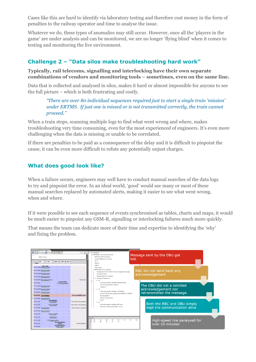Cases like this are hard to identify via laboratory testing and therefore cost money in the form of penalties to the railway operator and time to analyse the issue.

Whatever we do, these types of anomalies may still occur. However, once all the 'players in the game' are under analysis and can be monitored, we are no longer 'flying blind' when it comes to testing and monitoring the live environment.

## **Challenge 2 – "Data silos make troubleshooting hard work"**

**Typically, rail telecoms, signalling and interlocking have their own separate combinations of vendors and monitoring tools – sometimes, even on the same line.** 

Data that is collected and analysed in silos, makes it hard or almost impossible for anyone to see the full picture – which is both frustrating and costly.

*"There are over 80 individual sequences required just to start a single train 'mission' under ERTMS. If just one is missed or is not transmitted correctly, the train cannot proceed."*

When a train stops, scanning multiple logs to find what went wrong and where, makes troubleshooting very time consuming, even for the most experienced of engineers. It's even more challenging when the data is missing or unable to be correlated.

If there are penalties to be paid as a consequence of the delay and it is difficult to pinpoint the cause, it can be even more difficult to refute any potentially unjust charges.

## **What does good look like?**

When a failure occurs, engineers may well have to conduct manual searches of the data logs to try and pinpoint the error. In an ideal world, 'good' would see many or most of these manual searches replaced by automated alerts, making it easier to see what went wrong, when and where.

If it were possible to see each sequence of events synchronised as tables, charts and maps, it would be much easier to pinpoint any GSM-R, signalling or interlocking failures much more quickly.

That means the team can dedicate more of their time and expertise to identifying the 'why' and fixing the problem.

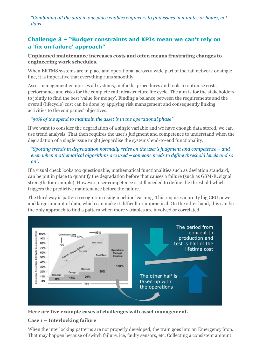*"Combining all the data in one place enables engineers to find issues in minutes or hours, not days"*

## **Challenge 3 – "Budget constraints and KPIs mean we can't rely on a 'fix on failure' approach"**

#### **Unplanned maintenance increases costs and often means frustrating changes to engineering work schedules.**

When ERTMS systems are in place and operational across a wide part of the rail network or single line, it is imperative that everything runs smoothly.

Asset management comprises all systems, methods, procedures and tools to optimise costs, performance and risks for the complete rail infrastructure life cycle. The aim is for the stakeholders to jointly to find the best 'value for money'. Finding a balance between the requirements and the overall (lifecycle) cost can be done by applying risk management and consequently linking activities to the companies' objectives.

#### *"50% of the spend to maintain the asset is in the operational phase"*

If we want to consider the degradation of a single variable and we have enough data stored, we can use trend analysis. That then requires the user's judgment and competence to understand when the degradation of a single issue might jeopardise the systems' end-to-end functionality.

#### *"Spotting trends in degradation normally relies on the user's judgment and competence – and even when mathematical algorithms are used – someone needs to define threshold levels and so on".*

If a visual check looks too questionable, mathematical functionalities such as deviation standard, can be put in place to quantify the degradation before that causes a failure (such as GSM-R. signal strength, for example). However, user competence is still needed to define the threshold which triggers the predictive maintenance before the failure.

The third way is pattern recognition using machine learning. This requires a pretty big CPU power and large amount of data, which can make it difficult or impractical. On the other hand, this can be the only approach to find a pattern when more variables are involved or correlated.



**Here are five example cases of challenges with asset management.**

#### **Case 1 – Interlocking failure**

When the interlocking patterns are not properly developed, the train goes into an Emergency Stop. That may happen because of switch failure, ice, faulty sensors, etc. Collecting a consistent amount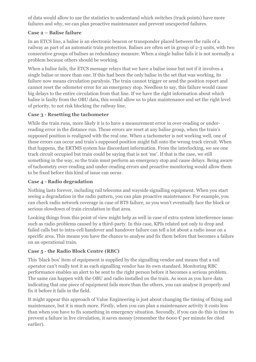of data would allow to use the statistics to understand which switches (track points) have more failures and why, we can plan proactive maintenance and prevent unexpected failures.

#### **Case 2 – Balise failure**

In an ETCS line, a balise is an electronic beacon or transponder placed between the rails of a railway as part of an automatic train protection. Balises are often set in group of 2-3 units, with two consecutive groups of balises as redundancy measure. When a single balise fails it is not normally a problem because others should be working.

When a balise fails, the ETCS message relays that we have a balise issue but not if it involves a single balise or more than one. If this had been the only balise in the set that was working, its failure now means circulation paralysis. The train cannot trigger or send the position report and cannot reset the odometer error for an emergency stop. Needless to say, this failure would cause big delays to the entire circulation from that line. If we have the right information about which balise is faulty from the OBU data, this would allow us to plan maintenance and set the right level of priority, to not risk blocking the railway line.

#### **Case 3 - Resetting the tachometer**

While the train runs, more likely it is to have a measurement error in over-reading or underreading error in the distance run. Those errors are reset at any balise group, when the train's supposed position is realigned with the real one. When a tachometer is not working well, one of these errors can occur and train's supposed position might fall onto the wrong track circuit. When that happens, the ERTMS system has discordant information. From the interlocking, we see one track circuit occupied but train could be saying that is not 'me'. If that is the case, we still something in the way, so the train must perform an emergency stop and cause delays. Being aware of tachometry over-reading and under-reading errors and proactive monitoring would allow them to be fixed before this kind of issue can occur.

#### **Case 4 - Radio degradation**

Nothing lasts forever, including rail telecoms and wayside signalling equipment. When you start seeing a degradation in the radio pattern, you can plan proactive maintenance. For example, you can check radio network coverage in case of BTS failure, so you won't eventually face the block or serious slowdown of train circulation in that area.

Looking things from this point of view might help as well in case of extra system interference issue: such as radio problems caused by a third-party. In this case, KPIs related not only to drop and failed calls but to intra-cell handover and handover failure can tell a lot about a radio issue on a specific area. This means you have the chance to analyse and fix them before that becomes a failure on an operational train.

#### **Case 5 - the Radio Block Centre (RBC)**

This 'black box' item of equipment is supplied by the signalling vendor and means that a rail operator can't really test it as each signalling vendor has its own standard. Monitoring RBC performance enables an alert to be sent to the right person before it becomes a serious problem. The same can happen with the OBU and radio installed on the train. As soon as you have data indicating that one piece of equipment fails more than the others, you can analyse it properly and fix it before it fails in the field.

It might appear this approach of Value Engineering is just about changing the timing of fixing and maintenance, but it is much more. Firstly, when you can plan a maintenance activity it costs less than when you have to fix something in emergency situation. Secondly, if you can do this in time to prevent a failure in live circulation, it saves money (remember the 6000  $\epsilon$  per minute fee cited earlier).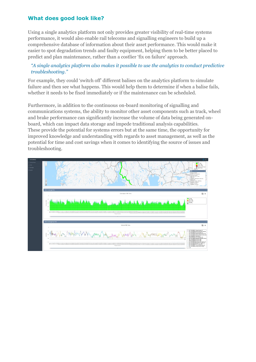#### **What does good look like?**

Using a single analytics platform not only provides greater visibility of real-time systems performance, it would also enable rail telecoms and signalling engineers to build up a comprehensive database of information about their asset performance. This would make it easier to spot degradation trends and faulty equipment, helping them to be better placed to predict and plan maintenance, rather than a costlier 'fix on failure' approach.

#### *"A single analytics platform also makes it possible to use the analytics to conduct predictive troubleshooting."*

For example, they could 'switch off' different balises on the analytics platform to simulate failure and then see what happens. This would help them to determine if when a balise fails, whether it needs to be fixed immediately or if the maintenance can be scheduled.

Furthermore, in addition to the continuous on-board monitoring of signalling and communications systems, the ability to monitor other asset components such as track, wheel and brake performance can significantly increase the volume of data being generated onboard, which can impact data storage and impede traditional analysis capabilities. These provide the potential for systems errors but at the same time, the opportunity for improved knowledge and understanding with regards to asset management, as well as the potential for time and cost savings when it comes to identifying the source of issues and troubleshooting.